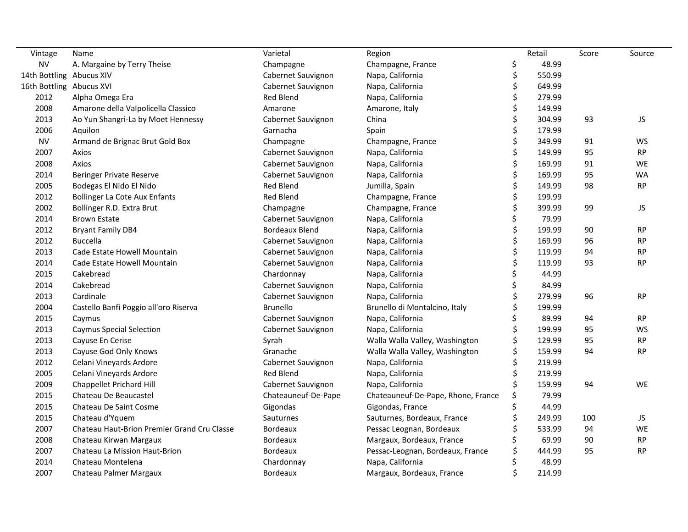| Vintage                  | Name                                        | Varietal              | Region                             |     | Retail | Score | Source    |
|--------------------------|---------------------------------------------|-----------------------|------------------------------------|-----|--------|-------|-----------|
| <b>NV</b>                | A. Margaine by Terry Theise                 | Champagne             | Champagne, France                  | \$, | 48.99  |       |           |
| 14th Bottling Abucus XIV |                                             | Cabernet Sauvignon    | Napa, California                   | \$  | 550.99 |       |           |
| 16th Bottling Abucus XVI |                                             | Cabernet Sauvignon    | Napa, California                   | \$  | 649.99 |       |           |
| 2012                     | Alpha Omega Era                             | Red Blend             | Napa, California                   | \$  | 279.99 |       |           |
| 2008                     | Amarone della Valpolicella Classico         | Amarone               | Amarone, Italy                     |     | 149.99 |       |           |
| 2013                     | Ao Yun Shangri-La by Moet Hennessy          | Cabernet Sauvignon    | China                              |     | 304.99 | 93    | JS        |
| 2006                     | Aquilon                                     | Garnacha              | Spain                              |     | 179.99 |       |           |
| <b>NV</b>                | Armand de Brignac Brut Gold Box             | Champagne             | Champagne, France                  |     | 349.99 | 91    | WS        |
| 2007                     | Axios                                       | Cabernet Sauvignon    | Napa, California                   | \$  | 149.99 | 95    | <b>RP</b> |
| 2008                     | Axios                                       | Cabernet Sauvignon    | Napa, California                   | \$  | 169.99 | 91    | WE        |
| 2014                     | <b>Beringer Private Reserve</b>             | Cabernet Sauvignon    | Napa, California                   | \$  | 169.99 | 95    | <b>WA</b> |
| 2005                     | Bodegas El Nido El Nido                     | <b>Red Blend</b>      | Jumilla, Spain                     |     | 149.99 | 98    | <b>RP</b> |
| 2012                     | <b>Bollinger La Cote Aux Enfants</b>        | <b>Red Blend</b>      | Champagne, France                  | \$  | 199.99 |       |           |
| 2002                     | Bollinger R.D. Extra Brut                   | Champagne             | Champagne, France                  | \$  | 399.99 | 99    | JS        |
| 2014                     | <b>Brown Estate</b>                         | Cabernet Sauvignon    | Napa, California                   | \$  | 79.99  |       |           |
| 2012                     | <b>Bryant Family DB4</b>                    | <b>Bordeaux Blend</b> | Napa, California                   | \$  | 199.99 | 90    | <b>RP</b> |
| 2012                     | <b>Buccella</b>                             | Cabernet Sauvignon    | Napa, California                   |     | 169.99 | 96    | <b>RP</b> |
| 2013                     | Cade Estate Howell Mountain                 | Cabernet Sauvignon    | Napa, California                   |     | 119.99 | 94    | <b>RP</b> |
| 2014                     | Cade Estate Howell Mountain                 | Cabernet Sauvignon    | Napa, California                   |     | 119.99 | 93    | <b>RP</b> |
| 2015                     | Cakebread                                   | Chardonnay            | Napa, California                   |     | 44.99  |       |           |
| 2014                     | Cakebread                                   | Cabernet Sauvignon    | Napa, California                   |     | 84.99  |       |           |
| 2013                     | Cardinale                                   | Cabernet Sauvignon    | Napa, California                   |     | 279.99 | 96    | <b>RP</b> |
| 2004                     | Castello Banfi Poggio all'oro Riserva       | <b>Brunello</b>       | Brunello di Montalcino, Italy      |     | 199.99 |       |           |
| 2015                     | Caymus                                      | Cabernet Sauvignon    | Napa, California                   |     | 89.99  | 94    | <b>RP</b> |
| 2013                     | <b>Caymus Special Selection</b>             | Cabernet Sauvignon    | Napa, California                   | \$  | 199.99 | 95    | WS        |
| 2013                     | Cayuse En Cerise                            | Syrah                 | Walla Walla Valley, Washington     | \$  | 129.99 | 95    | <b>RP</b> |
| 2013                     | Cayuse God Only Knows                       | Granache              | Walla Walla Valley, Washington     | \$  | 159.99 | 94    | <b>RP</b> |
| 2012                     | Celani Vineyards Ardore                     | Cabernet Sauvignon    | Napa, California                   |     | 219.99 |       |           |
| 2005                     | Celani Vineyards Ardore                     | Red Blend             | Napa, California                   |     | 219.99 |       |           |
| 2009                     | Chappellet Prichard Hill                    | Cabernet Sauvignon    | Napa, California                   |     | 159.99 | 94    | WE        |
| 2015                     | Chateau De Beaucastel                       | Chateauneuf-De-Pape   | Chateauneuf-De-Pape, Rhone, France | \$  | 79.99  |       |           |
| 2015                     | Chateau De Saint Cosme                      | Gigondas              | Gigondas, France                   |     | 44.99  |       |           |
| 2015                     | Chateau d'Yquem                             | Sauturnes             | Sauturnes, Bordeaux, France        |     | 249.99 | 100   | JS        |
| 2007                     | Chateau Haut-Brion Premier Grand Cru Classe | <b>Bordeaux</b>       | Pessac Leognan, Bordeaux           |     | 533.99 | 94    | WE        |
| 2008                     | Chateau Kirwan Margaux                      | <b>Bordeaux</b>       | Margaux, Bordeaux, France          |     | 69.99  | 90    | <b>RP</b> |
| 2007                     | Chateau La Mission Haut-Brion               | Bordeaux              | Pessac-Leognan, Bordeaux, France   |     | 444.99 | 95    | <b>RP</b> |
| 2014                     | Chateau Montelena                           | Chardonnay            | Napa, California                   |     | 48.99  |       |           |
| 2007                     | Chateau Palmer Margaux                      | <b>Bordeaux</b>       | Margaux, Bordeaux, France          |     | 214.99 |       |           |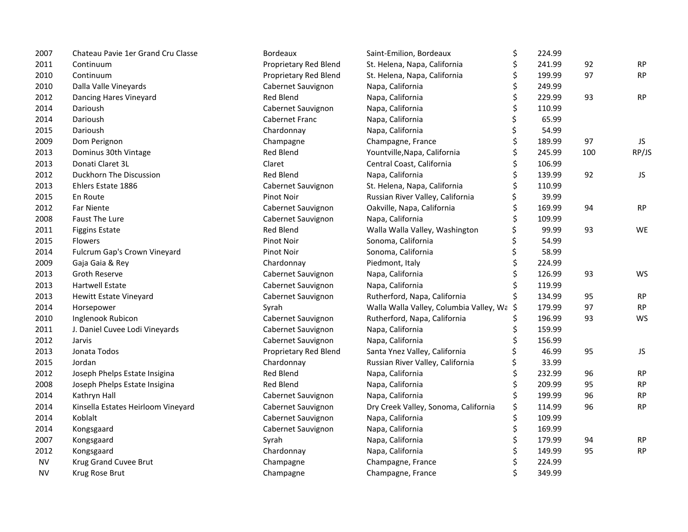| 2007      | Chateau Pavie 1er Grand Cru Classe | Bordeaux              | Saint-Emilion, Bordeaux                    | \$ | 224.99 |     |                                   |
|-----------|------------------------------------|-----------------------|--------------------------------------------|----|--------|-----|-----------------------------------|
| 2011      | Continuum                          | Proprietary Red Blend | St. Helena, Napa, California               | \$ | 241.99 | 92  | RP                                |
| 2010      | Continuum                          | Proprietary Red Blend | St. Helena, Napa, California               |    | 199.99 | 97  | <b>RP</b>                         |
| 2010      | Dalla Valle Vineyards              | Cabernet Sauvignon    | Napa, California                           |    | 249.99 |     |                                   |
| 2012      | Dancing Hares Vineyard             | <b>Red Blend</b>      | Napa, California                           |    | 229.99 | 93  | RP                                |
| 2014      | Darioush                           | Cabernet Sauvignon    | Napa, California                           |    | 110.99 |     |                                   |
| 2014      | Darioush                           | Cabernet Franc        | Napa, California                           |    | 65.99  |     |                                   |
| 2015      | Darioush                           | Chardonnay            | Napa, California                           | \$ | 54.99  |     |                                   |
| 2009      | Dom Perignon                       | Champagne             | Champagne, France                          |    | 189.99 | 97  | JS                                |
| 2013      | Dominus 30th Vintage               | <b>Red Blend</b>      | Yountville, Napa, California               | \$ | 245.99 | 100 | RP/JS                             |
| 2013      | Donati Claret 3L                   | Claret                | Central Coast, California                  | \$ | 106.99 |     |                                   |
| 2012      | Duckhorn The Discussion            | <b>Red Blend</b>      | Napa, California                           | \$ | 139.99 | 92  | JS                                |
| 2013      | Ehlers Estate 1886                 | Cabernet Sauvignon    | St. Helena, Napa, California               | \$ | 110.99 |     |                                   |
| 2015      | En Route                           | Pinot Noir            | Russian River Valley, California           | \$ | 39.99  |     |                                   |
| 2012      | <b>Far Niente</b>                  | Cabernet Sauvignon    | Oakville, Napa, California                 |    | 169.99 | 94  | <b>RP</b>                         |
| 2008      | <b>Faust The Lure</b>              | Cabernet Sauvignon    | Napa, California                           |    | 109.99 |     |                                   |
| 2011      | <b>Figgins Estate</b>              | <b>Red Blend</b>      | Walla Walla Valley, Washington             |    | 99.99  | 93  | WE                                |
| 2015      | <b>Flowers</b>                     | Pinot Noir            | Sonoma, California                         | \$ | 54.99  |     |                                   |
| 2014      | Fulcrum Gap's Crown Vineyard       | Pinot Noir            | Sonoma, California                         | \$ | 58.99  |     |                                   |
| 2009      | Gaja Gaia & Rey                    | Chardonnay            | Piedmont, Italy                            |    | 224.99 |     |                                   |
| 2013      | Groth Reserve                      | Cabernet Sauvignon    | Napa, California                           |    | 126.99 | 93  | <b>WS</b>                         |
| 2013      | <b>Hartwell Estate</b>             | Cabernet Sauvignon    | Napa, California                           |    | 119.99 |     |                                   |
| 2013      | <b>Hewitt Estate Vineyard</b>      | Cabernet Sauvignon    | Rutherford, Napa, California               |    | 134.99 | 95  | <b>RP</b>                         |
| 2014      | Horsepower                         | Syrah                 | Walla Walla Valley, Columbia Valley, Wa \$ |    | 179.99 | 97  | $\ensuremath{\mathsf{RP}}\xspace$ |
| 2010      | Inglenook Rubicon                  | Cabernet Sauvignon    | Rutherford, Napa, California               | \$ | 196.99 | 93  | WS                                |
| 2011      | J. Daniel Cuvee Lodi Vineyards     | Cabernet Sauvignon    | Napa, California                           | \$ | 159.99 |     |                                   |
| 2012      | Jarvis                             | Cabernet Sauvignon    | Napa, California                           |    | 156.99 |     |                                   |
| 2013      | Jonata Todos                       | Proprietary Red Blend | Santa Ynez Valley, California              |    | 46.99  | 95  | JS                                |
| 2015      | Jordan                             | Chardonnay            | Russian River Valley, California           |    | 33.99  |     |                                   |
| 2012      | Joseph Phelps Estate Insigina      | <b>Red Blend</b>      | Napa, California                           |    | 232.99 | 96  | <b>RP</b>                         |
| 2008      | Joseph Phelps Estate Insigina      | <b>Red Blend</b>      | Napa, California                           |    | 209.99 | 95  | RP                                |
| 2014      | Kathryn Hall                       | Cabernet Sauvignon    | Napa, California                           | \$ | 199.99 | 96  | RP                                |
| 2014      | Kinsella Estates Heirloom Vineyard | Cabernet Sauvignon    | Dry Creek Valley, Sonoma, California       | \$ | 114.99 | 96  | <b>RP</b>                         |
| 2014      | Koblalt                            | Cabernet Sauvignon    | Napa, California                           | \$ | 109.99 |     |                                   |
| 2014      | Kongsgaard                         | Cabernet Sauvignon    | Napa, California                           | \$ | 169.99 |     |                                   |
| 2007      | Kongsgaard                         | Syrah                 | Napa, California                           | \$ | 179.99 | 94  | <b>RP</b>                         |
| 2012      | Kongsgaard                         | Chardonnay            | Napa, California                           | \$ | 149.99 | 95  | RP                                |
| <b>NV</b> | Krug Grand Cuvee Brut              | Champagne             | Champagne, France                          | \$ | 224.99 |     |                                   |
| <b>NV</b> | Krug Rose Brut                     | Champagne             | Champagne, France                          | Ś  | 349.99 |     |                                   |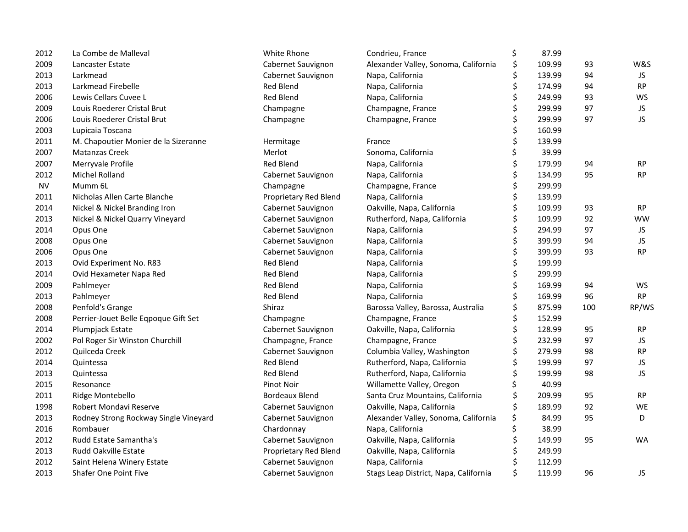| 2012      | La Combe de Malleval                  | White Rhone           | Condrieu, France                      | \$<br>87.99  |     |           |
|-----------|---------------------------------------|-----------------------|---------------------------------------|--------------|-----|-----------|
| 2009      | Lancaster Estate                      | Cabernet Sauvignon    | Alexander Valley, Sonoma, California  | \$<br>109.99 | 93  | W&S       |
| 2013      | Larkmead                              | Cabernet Sauvignon    | Napa, California                      | \$<br>139.99 | 94  | JS.       |
| 2013      | Larkmead Firebelle                    | Red Blend             | Napa, California                      | \$<br>174.99 | 94  | <b>RP</b> |
| 2006      | Lewis Cellars Cuvee L                 | Red Blend             | Napa, California                      | \$<br>249.99 | 93  | <b>WS</b> |
| 2009      | Louis Roederer Cristal Brut           | Champagne             | Champagne, France                     | \$<br>299.99 | 97  | JS.       |
| 2006      | Louis Roederer Cristal Brut           | Champagne             | Champagne, France                     | \$<br>299.99 | 97  | <b>JS</b> |
| 2003      | Lupicaia Toscana                      |                       |                                       | \$<br>160.99 |     |           |
| 2011      | M. Chapoutier Monier de la Sizeranne  | Hermitage             | France                                | \$<br>139.99 |     |           |
| 2007      | <b>Matanzas Creek</b>                 | Merlot                | Sonoma, California                    | \$<br>39.99  |     |           |
| 2007      | Merryvale Profile                     | <b>Red Blend</b>      | Napa, California                      | \$<br>179.99 | 94  | <b>RP</b> |
| 2012      | Michel Rolland                        | Cabernet Sauvignon    | Napa, California                      | \$<br>134.99 | 95  | <b>RP</b> |
| <b>NV</b> | Mumm 6L                               | Champagne             | Champagne, France                     | \$<br>299.99 |     |           |
| 2011      | Nicholas Allen Carte Blanche          | Proprietary Red Blend | Napa, California                      | \$<br>139.99 |     |           |
| 2014      | Nickel & Nickel Branding Iron         | Cabernet Sauvignon    | Oakville, Napa, California            | \$<br>109.99 | 93  | <b>RP</b> |
| 2013      | Nickel & Nickel Quarry Vineyard       | Cabernet Sauvignon    | Rutherford, Napa, California          | \$<br>109.99 | 92  | <b>WW</b> |
| 2014      | Opus One                              | Cabernet Sauvignon    | Napa, California                      | \$<br>294.99 | 97  | JS        |
| 2008      | Opus One                              | Cabernet Sauvignon    | Napa, California                      | \$<br>399.99 | 94  | JS.       |
| 2006      | Opus One                              | Cabernet Sauvignon    | Napa, California                      | \$<br>399.99 | 93  | <b>RP</b> |
| 2013      | Ovid Experiment No. R83               | <b>Red Blend</b>      | Napa, California                      | \$<br>199.99 |     |           |
| 2014      | Ovid Hexameter Napa Red               | Red Blend             | Napa, California                      | \$<br>299.99 |     |           |
| 2009      | Pahlmeyer                             | Red Blend             | Napa, California                      | \$<br>169.99 | 94  | WS        |
| 2013      | Pahlmeyer                             | Red Blend             | Napa, California                      | \$<br>169.99 | 96  | RP        |
| 2008      | Penfold's Grange                      | Shiraz                | Barossa Valley, Barossa, Australia    | \$<br>875.99 | 100 | RP/WS     |
| 2008      | Perrier-Jouet Belle Eqpoque Gift Set  | Champagne             | Champagne, France                     | \$<br>152.99 |     |           |
| 2014      | Plumpjack Estate                      | Cabernet Sauvignon    | Oakville, Napa, California            | \$<br>128.99 | 95  | <b>RP</b> |
| 2002      | Pol Roger Sir Winston Churchill       | Champagne, France     | Champagne, France                     | \$<br>232.99 | 97  | JS        |
| 2012      | Quilceda Creek                        | Cabernet Sauvignon    | Columbia Valley, Washington           | \$<br>279.99 | 98  | <b>RP</b> |
| 2014      | Quintessa                             | <b>Red Blend</b>      | Rutherford, Napa, California          | \$<br>199.99 | 97  | JS        |
| 2013      | Quintessa                             | <b>Red Blend</b>      | Rutherford, Napa, California          | \$<br>199.99 | 98  | JS.       |
| 2015      | Resonance                             | <b>Pinot Noir</b>     | Willamette Valley, Oregon             | \$<br>40.99  |     |           |
| 2011      | Ridge Montebello                      | Bordeaux Blend        | Santa Cruz Mountains, California      | \$<br>209.99 | 95  | <b>RP</b> |
| 1998      | Robert Mondavi Reserve                | Cabernet Sauvignon    | Oakville, Napa, California            | \$<br>189.99 | 92  | WE        |
| 2013      | Rodney Strong Rockway Single Vineyard | Cabernet Sauvignon    | Alexander Valley, Sonoma, California  | \$<br>84.99  | 95  | D         |
| 2016      | Rombauer                              | Chardonnay            | Napa, California                      | \$<br>38.99  |     |           |
| 2012      | Rudd Estate Samantha's                | Cabernet Sauvignon    | Oakville, Napa, California            | \$<br>149.99 | 95  | <b>WA</b> |
| 2013      | Rudd Oakville Estate                  | Proprietary Red Blend | Oakville, Napa, California            | \$<br>249.99 |     |           |
| 2012      | Saint Helena Winery Estate            | Cabernet Sauvignon    | Napa, California                      | \$<br>112.99 |     |           |
| 2013      | <b>Shafer One Point Five</b>          | Cabernet Sauvignon    | Stags Leap District, Napa, California | \$<br>119.99 | 96  | JS        |
|           |                                       |                       |                                       |              |     |           |